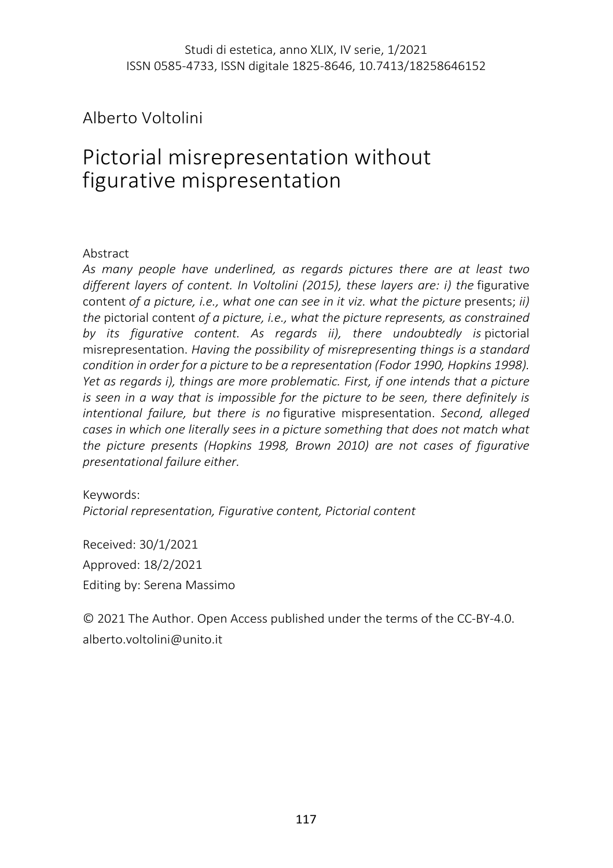Alberto Voltolini

# Pictorial misrepresentation without figurative mispresentation

#### Abstract

*As many people have underlined, as regards pictures there are at least two different layers of content. In Voltolini (2015), these layers are: i) the* figurative content of a picture, i.e., what one can see in it viz. what the picture presents; *ii*) *the* pictorial content *of a picture, i.e., what the picture represents, as constrained by its figurative content. As regards ii), there undoubtedly is* pictorial misrepresentation. *Having the possibility of misrepresenting things is a standard condition in order for a picture to be a representation (Fodor 1990, Hopkins 1998). Yet as regards i), things are more problematic. First, if one intends that a picture is seen in a way that is impossible for the picture to be seen, there definitely is intentional failure, but there is no* figurative mispresentation. *Second, alleged cases in which one literally sees in a picture something that does not match what the picture presents (Hopkins 1998, Brown 2010) are not cases of figurative presentational failure either.*

Keywords: *Pictorial representation, Figurative content, Pictorial content*

Received: 30/1/2021 Approved: 18/2/2021 Editing by: Serena Massimo

© 2021 The Author. Open Access published under the terms of the CC-BY-4.0. alberto.voltolini@unito.it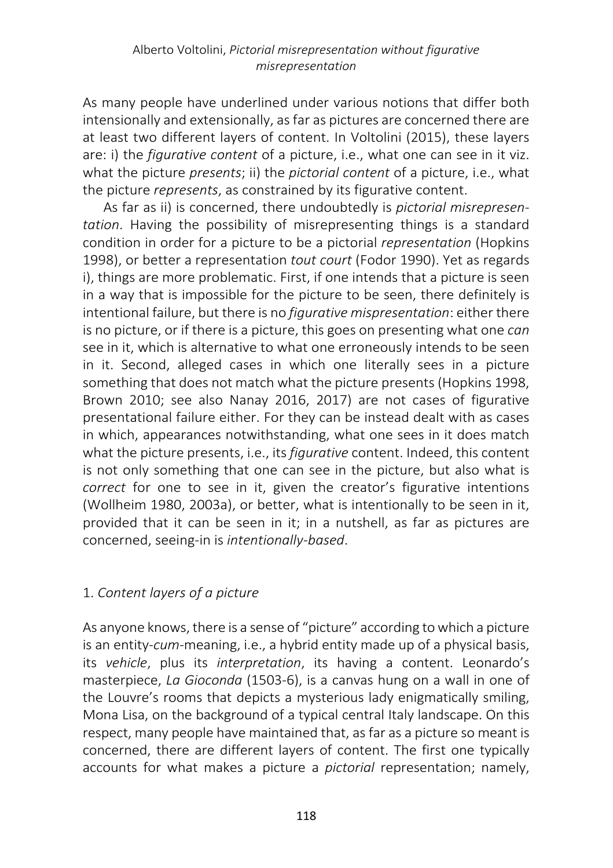As many people have underlined under various notions that differ both intensionally and extensionally, as far as pictures are concerned there are at least two different layers of content. In Voltolini (2015), these layers are: i) the *figurative content* of a picture, i.e., what one can see in it viz. what the picture *presents*; ii) the *pictorial content* of a picture, i.e., what the picture *represents*, as constrained by its figurative content.

As far as ii) is concerned, there undoubtedly is *pictorial misrepresentation*. Having the possibility of misrepresenting things is a standard condition in order for a picture to be a pictorial *representation* (Hopkins 1998), or better a representation *tout court* (Fodor 1990). Yet as regards i), things are more problematic. First, if one intends that a picture is seen in a way that is impossible for the picture to be seen, there definitely is intentional failure, but there is no *figurative mispresentation*: either there is no picture, or if there is a picture, this goes on presenting what one *can* see in it, which is alternative to what one erroneously intends to be seen in it. Second, alleged cases in which one literally sees in a picture something that does not match what the picture presents(Hopkins 1998, Brown 2010; see also Nanay 2016, 2017) are not cases of figurative presentational failure either. For they can be instead dealt with as cases in which, appearances notwithstanding, what one sees in it does match what the picture presents, i.e., its *figurative* content. Indeed, this content is not only something that one can see in the picture, but also what is *correct* for one to see in it, given the creator's figurative intentions (Wollheim 1980, 2003a), or better, what is intentionally to be seen in it, provided that it can be seen in it; in a nutshell, as far as pictures are concerned, seeing-in is *intentionally-based*.

# 1. *Content layers of a picture*

As anyone knows, there is a sense of "picture" according to which a picture is an entity-*cum*-meaning, i.e., a hybrid entity made up of a physical basis, its *vehicle*, plus its *interpretation*, its having a content. Leonardo's masterpiece, *La Gioconda* (1503-6), is a canvas hung on a wall in one of the Louvre's rooms that depicts a mysterious lady enigmatically smiling, Mona Lisa, on the background of a typical central Italy landscape. On this respect, many people have maintained that, as far as a picture so meant is concerned, there are different layers of content. The first one typically accounts for what makes a picture a *pictorial* representation; namely,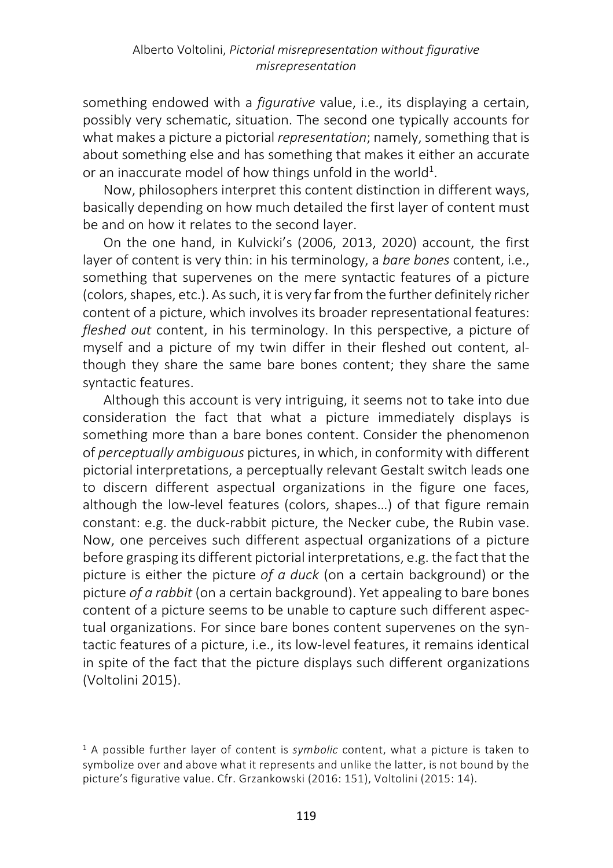something endowed with a *figurative* value, i.e., its displaying a certain, possibly very schematic, situation. The second one typically accounts for what makes a picture a pictorial *representation*; namely, something that is about something else and has something that makes it either an accurate or an inaccurate model of how things unfold in the world $^1$ .

Now, philosophers interpret this content distinction in different ways, basically depending on how much detailed the first layer of content must be and on how it relates to the second layer.

On the one hand, in Kulvicki's (2006, 2013, 2020) account, the first layer of content is very thin: in his terminology, a *bare bones* content, i.e., something that supervenes on the mere syntactic features of a picture (colors, shapes, etc.). As such, it is very far from the further definitely richer content of a picture, which involves its broader representational features: *fleshed out* content, in his terminology. In this perspective, a picture of myself and a picture of my twin differ in their fleshed out content, although they share the same bare bones content; they share the same syntactic features.

Although this account is very intriguing, it seems not to take into due consideration the fact that what a picture immediately displays is something more than a bare bones content. Consider the phenomenon of *perceptually ambiguous* pictures, in which, in conformity with different pictorial interpretations, a perceptually relevant Gestalt switch leads one to discern different aspectual organizations in the figure one faces, although the low-level features (colors, shapes…) of that figure remain constant: e.g. the duck-rabbit picture, the Necker cube, the Rubin vase. Now, one perceives such different aspectual organizations of a picture before grasping its different pictorial interpretations, e.g. the fact that the picture is either the picture *of a duck* (on a certain background) or the picture *of a rabbit* (on a certain background). Yet appealing to bare bones content of a picture seems to be unable to capture such different aspectual organizations. For since bare bones content supervenes on the syntactic features of a picture, i.e., its low-level features, it remains identical in spite of the fact that the picture displays such different organizations (Voltolini 2015).

<sup>1</sup> A possible further layer of content is *symbolic* content, what a picture is taken to symbolize over and above what it represents and unlike the latter, is not bound by the picture's figurative value. Cfr. Grzankowski (2016: 151), Voltolini (2015: 14).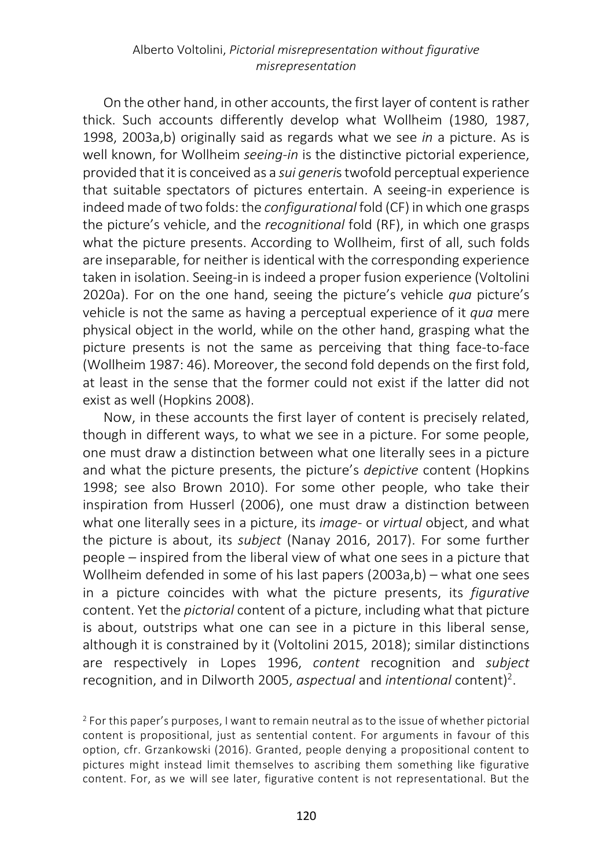#### Alberto Voltolini, *Pictorial misrepresentation without figurative misrepresentation*

On the other hand, in other accounts, the first layer of content is rather thick. Such accounts differently develop what Wollheim (1980, 1987, 1998, 2003a,b) originally said as regards what we see *in* a picture. As is well known, for Wollheim *seeing-in* is the distinctive pictorial experience, provided that it is conceived as a *sui generi*s twofold perceptual experience that suitable spectators of pictures entertain. A seeing-in experience is indeed made of two folds: the *configurational* fold (CF) in which one grasps the picture's vehicle, and the *recognitional* fold (RF), in which one grasps what the picture presents. According to Wollheim, first of all, such folds are inseparable, for neither is identical with the corresponding experience taken in isolation. Seeing-in is indeed a proper fusion experience (Voltolini 2020a). For on the one hand, seeing the picture's vehicle *qua* picture's vehicle is not the same as having a perceptual experience of it *qua* mere physical object in the world, while on the other hand, grasping what the picture presents is not the same as perceiving that thing face-to-face (Wollheim 1987: 46). Moreover, the second fold depends on the first fold, at least in the sense that the former could not exist if the latter did not exist as well (Hopkins 2008).

Now, in these accounts the first layer of content is precisely related, though in different ways, to what we see in a picture. For some people, one must draw a distinction between what one literally sees in a picture and what the picture presents, the picture's *depictive* content (Hopkins 1998; see also Brown 2010). For some other people, who take their inspiration from Husserl (2006), one must draw a distinction between what one literally sees in a picture, its *image*- or *virtual* object, and what the picture is about, its *subject* (Nanay 2016, 2017). For some further people – inspired from the liberal view of what one sees in a picture that Wollheim defended in some of his last papers (2003a,b) – what one sees in a picture coincides with what the picture presents, its *figurative* content. Yet the *pictorial* content of a picture, including what that picture is about, outstrips what one can see in a picture in this liberal sense, although it is constrained by it (Voltolini 2015, 2018); similar distinctions are respectively in Lopes 1996, *content* recognition and *subject* recognition, and in Dilworth 2005, *aspectual* and *intentional* content) 2 .

<sup>2</sup> For this paper's purposes, I want to remain neutral as to the issue of whether pictorial content is propositional, just as sentential content. For arguments in favour of this option, cfr. Grzankowski (2016). Granted, people denying a propositional content to pictures might instead limit themselves to ascribing them something like figurative content. For, as we will see later, figurative content is not representational. But the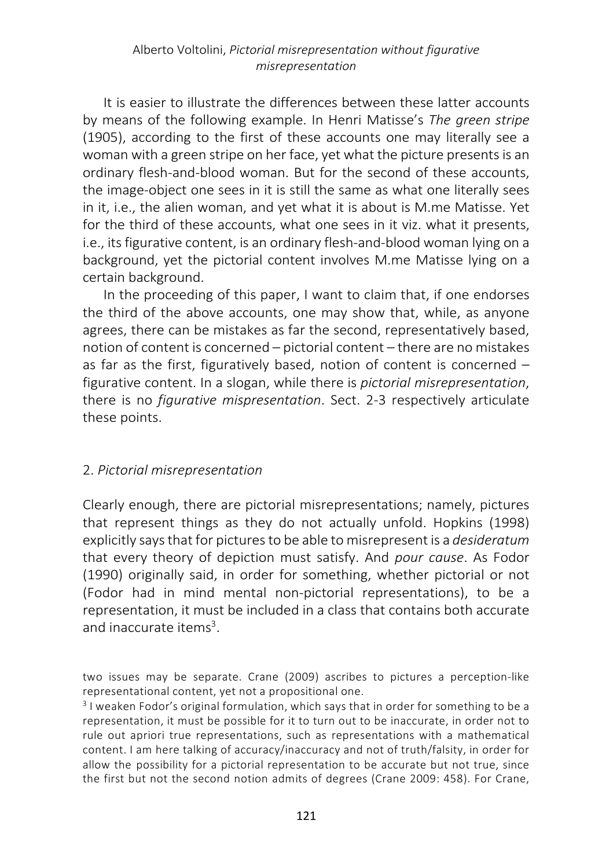It is easier to illustrate the differences between these latter accounts by means of the following example. In Henri Matisse's *The green stripe* (1905), according to the first of these accounts one may literally see a woman with a green stripe on her face, yet what the picture presents is an ordinary flesh-and-blood woman. But for the second of these accounts, the image-object one sees in it is still the same as what one literally sees in it, i.e., the alien woman, and yet what it is about is M.me Matisse. Yet for the third of these accounts, what one sees in it viz. what it presents, i.e., its figurative content, is an ordinary flesh-and-blood woman lying on a background, yet the pictorial content involves M.me Matisse lying on a certain background.

In the proceeding of this paper, I want to claim that, if one endorses the third of the above accounts, one may show that, while, as anyone agrees, there can be mistakes as far the second, representatively based, notion of content is concerned – pictorial content – there are no mistakes as far as the first, figuratively based, notion of content is concerned – figurative content. In a slogan, while there is *pictorial misrepresentation*, there is no *figurative mispresentation*. Sect. 2-3 respectively articulate these points.

## 2. *Pictorial misrepresentation*

Clearly enough, there are pictorial misrepresentations; namely, pictures that represent things as they do not actually unfold. Hopkins (1998) explicitly says that for pictures to be able to misrepresent is a *desideratum* that every theory of depiction must satisfy. And *pour cause*. As Fodor (1990) originally said, in order for something, whether pictorial or not (Fodor had in mind mental non-pictorial representations), to be a representation, it must be included in a class that contains both accurate and inaccurate items<sup>3</sup>.

two issues may be separate. Crane (2009) ascribes to pictures a perception-like representational content, yet not a propositional one.

<sup>3</sup> I weaken Fodor's original formulation, which says that in order for something to be a representation, it must be possible for it to turn out to be inaccurate, in order not to rule out apriori true representations, such as representations with a mathematical content. I am here talking of accuracy/inaccuracy and not of truth/falsity, in order for allow the possibility for a pictorial representation to be accurate but not true, since the first but not the second notion admits of degrees (Crane 2009: 458). For Crane,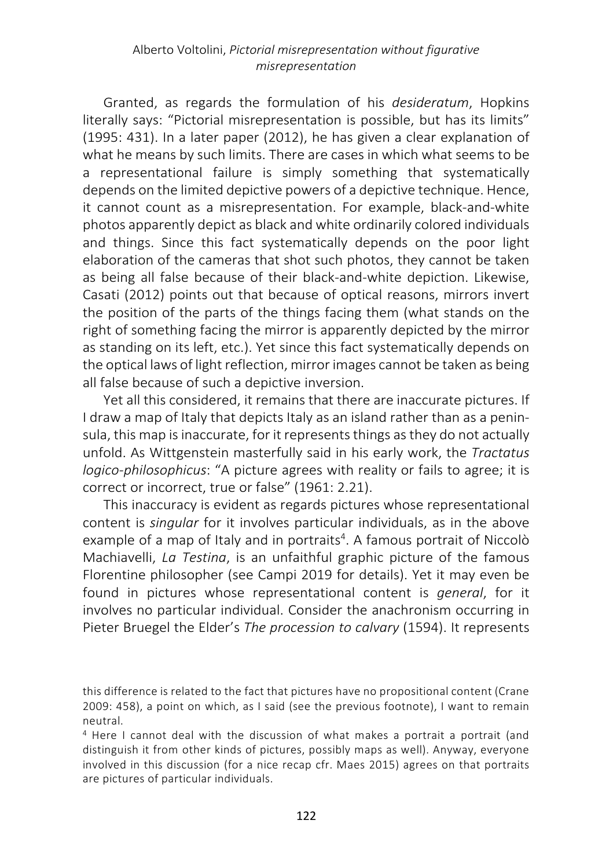Granted, as regards the formulation of his *desideratum*, Hopkins literally says: "Pictorial misrepresentation is possible, but has its limits" (1995: 431). In a later paper (2012), he has given a clear explanation of what he means by such limits. There are cases in which what seems to be a representational failure is simply something that systematically depends on the limited depictive powers of a depictive technique. Hence, it cannot count as a misrepresentation. For example, black-and-white photos apparently depict as black and white ordinarily colored individuals and things. Since this fact systematically depends on the poor light elaboration of the cameras that shot such photos, they cannot be taken as being all false because of their black-and-white depiction. Likewise, Casati (2012) points out that because of optical reasons, mirrors invert the position of the parts of the things facing them (what stands on the right of something facing the mirror is apparently depicted by the mirror as standing on its left, etc.). Yet since this fact systematically depends on the optical laws of light reflection, mirror images cannot be taken as being all false because of such a depictive inversion.

Yet all this considered, it remains that there are inaccurate pictures. If I draw a map of Italy that depicts Italy as an island rather than as a peninsula, this map is inaccurate, for it represents things as they do not actually unfold. As Wittgenstein masterfully said in his early work, the *Tractatus logico-philosophicus*: "A picture agrees with reality or fails to agree; it is correct or incorrect, true or false" (1961: 2.21).

This inaccuracy is evident as regards pictures whose representational content is *singular* for it involves particular individuals, as in the above example of a map of Italy and in portraits<sup>4</sup>. A famous portrait of Niccolò Machiavelli, *La Testina*, is an unfaithful graphic picture of the famous Florentine philosopher (see Campi 2019 for details). Yet it may even be found in pictures whose representational content is *general*, for it involves no particular individual. Consider the anachronism occurring in Pieter Bruegel the Elder's *The procession to calvary* (1594). It represents

this difference is related to the fact that pictures have no propositional content (Crane 2009: 458), a point on which, as I said (see the previous footnote), I want to remain neutral.

<sup>4</sup> Here I cannot deal with the discussion of what makes a portrait a portrait (and distinguish it from other kinds of pictures, possibly maps as well). Anyway, everyone involved in this discussion (for a nice recap cfr. Maes 2015) agrees on that portraits are pictures of particular individuals.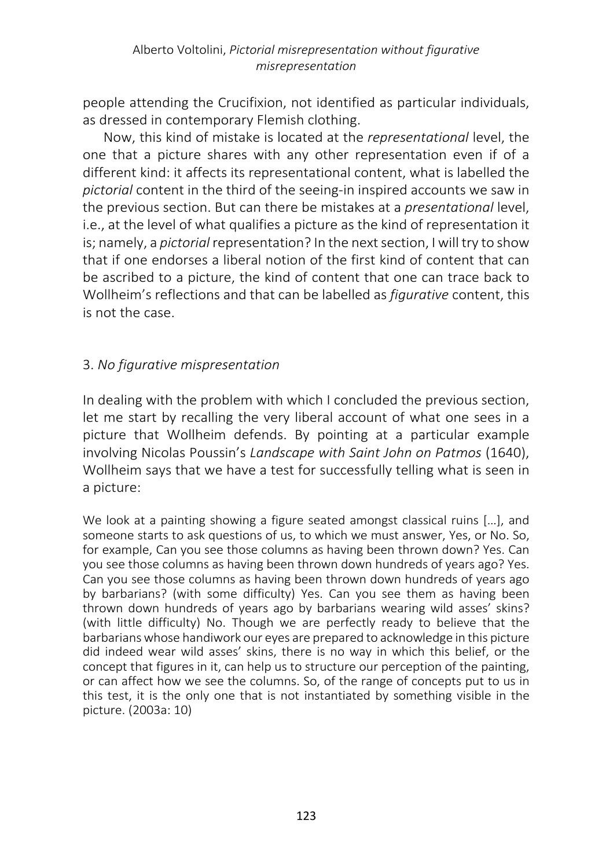people attending the Crucifixion, not identified as particular individuals, as dressed in contemporary Flemish clothing.

Now, this kind of mistake is located at the *representational* level, the one that a picture shares with any other representation even if of a different kind: it affects its representational content, what is labelled the *pictorial* content in the third of the seeing-in inspired accounts we saw in the previous section. But can there be mistakes at a *presentational* level, i.e., at the level of what qualifies a picture as the kind of representation it is; namely, a *pictorial* representation? In the next section, I will try to show that if one endorses a liberal notion of the first kind of content that can be ascribed to a picture, the kind of content that one can trace back to Wollheim's reflections and that can be labelled as *figurative* content, this is not the case.

# 3. *No figurative mispresentation*

In dealing with the problem with which I concluded the previous section, let me start by recalling the very liberal account of what one sees in a picture that Wollheim defends. By pointing at a particular example involving Nicolas Poussin's *Landscape with Saint John on Patmos* (1640), Wollheim says that we have a test for successfully telling what is seen in a picture:

We look at a painting showing a figure seated amongst classical ruins […], and someone starts to ask questions of us, to which we must answer, Yes, or No. So, for example, Can you see those columns as having been thrown down? Yes. Can you see those columns as having been thrown down hundreds of years ago? Yes. Can you see those columns as having been thrown down hundreds of years ago by barbarians? (with some difficulty) Yes. Can you see them as having been thrown down hundreds of years ago by barbarians wearing wild asses' skins? (with little difficulty) No. Though we are perfectly ready to believe that the barbarians whose handiwork our eyes are prepared to acknowledge in this picture did indeed wear wild asses' skins, there is no way in which this belief, or the concept that figures in it, can help us to structure our perception of the painting, or can affect how we see the columns. So, of the range of concepts put to us in this test, it is the only one that is not instantiated by something visible in the picture. (2003a: 10)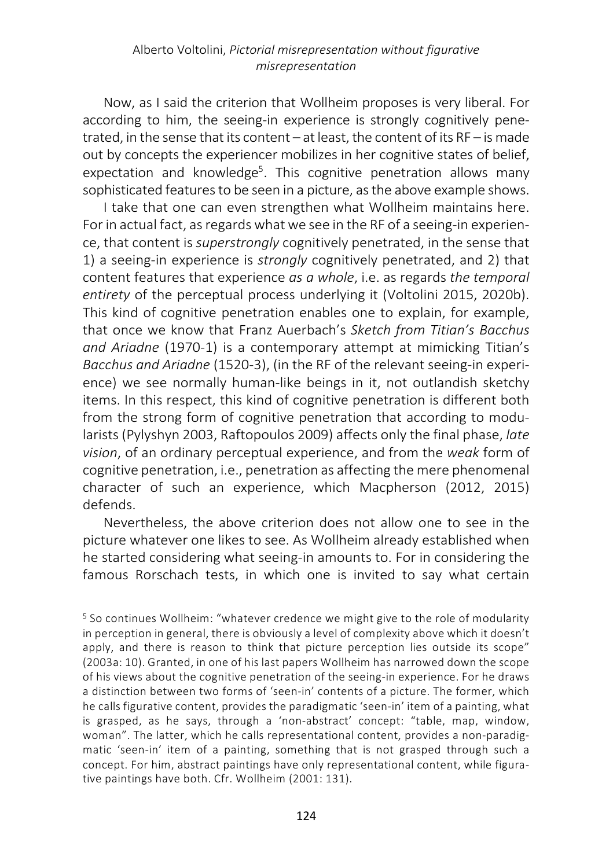Now, as I said the criterion that Wollheim proposes is very liberal. For according to him, the seeing-in experience is strongly cognitively penetrated, in the sense that its content – at least, the content of its RF – is made out by concepts the experiencer mobilizes in her cognitive states of belief, expectation and knowledge<sup>5</sup>. This cognitive penetration allows many sophisticated features to be seen in a picture, as the above example shows.

I take that one can even strengthen what Wollheim maintains here. For in actual fact, as regards what we see in the RF of a seeing-in experience, that content is *superstrongly* cognitively penetrated, in the sense that 1) a seeing-in experience is *strongly* cognitively penetrated, and 2) that content features that experience *as a whole*, i.e. as regards *the temporal entirety* of the perceptual process underlying it (Voltolini 2015, 2020b). This kind of cognitive penetration enables one to explain, for example, that once we know that Franz Auerbach's *Sketch from Titian's Bacchus and Ariadne* (1970-1) is a contemporary attempt at mimicking Titian's *Bacchus and Ariadne* (1520-3), (in the RF of the relevant seeing-in experience) we see normally human-like beings in it, not outlandish sketchy items. In this respect, this kind of cognitive penetration is different both from the strong form of cognitive penetration that according to modularists (Pylyshyn 2003, Raftopoulos 2009) affects only the final phase, *late vision*, of an ordinary perceptual experience, and from the *weak* form of cognitive penetration, i.e., penetration as affecting the mere phenomenal character of such an experience, which Macpherson (2012, 2015) defends.

Nevertheless, the above criterion does not allow one to see in the picture whatever one likes to see. As Wollheim already established when he started considering what seeing-in amounts to. For in considering the famous Rorschach tests, in which one is invited to say what certain

<sup>5</sup> So continues Wollheim: "whatever credence we might give to the role of modularity in perception in general, there is obviously a level of complexity above which it doesn't apply, and there is reason to think that picture perception lies outside its scope" (2003a: 10). Granted, in one of his last papers Wollheim has narrowed down the scope of his views about the cognitive penetration of the seeing-in experience. For he draws a distinction between two forms of 'seen-in' contents of a picture. The former, which he calls figurative content, provides the paradigmatic 'seen-in' item of a painting, what is grasped, as he says, through a 'non-abstract' concept: "table, map, window, woman". The latter, which he calls representational content, provides a non-paradigmatic 'seen-in' item of a painting, something that is not grasped through such a concept. For him, abstract paintings have only representational content, while figurative paintings have both. Cfr. Wollheim (2001: 131).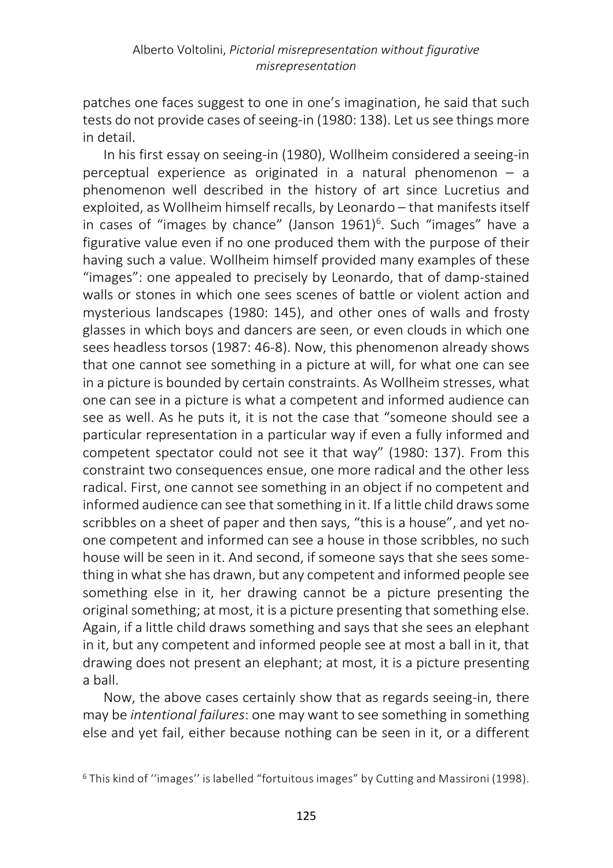patches one faces suggest to one in one's imagination, he said that such tests do not provide cases of seeing-in (1980: 138). Let us see things more in detail.

In his first essay on seeing-in (1980), Wollheim considered a seeing-in perceptual experience as originated in a natural phenomenon – a phenomenon well described in the history of art since Lucretius and exploited, as Wollheim himself recalls, by Leonardo – that manifests itself in cases of "images by chance" (Janson 1961)<sup>6</sup>. Such "images" have a figurative value even if no one produced them with the purpose of their having such a value. Wollheim himself provided many examples of these "images": one appealed to precisely by Leonardo, that of damp-stained walls or stones in which one sees scenes of battle or violent action and mysterious landscapes (1980: 145), and other ones of walls and frosty glasses in which boys and dancers are seen, or even clouds in which one sees headless torsos (1987: 46-8). Now, this phenomenon already shows that one cannot see something in a picture at will, for what one can see in a picture is bounded by certain constraints. As Wollheim stresses, what one can see in a picture is what a competent and informed audience can see as well. As he puts it, it is not the case that "someone should see a particular representation in a particular way if even a fully informed and competent spectator could not see it that way" (1980: 137). From this constraint two consequences ensue, one more radical and the other less radical. First, one cannot see something in an object if no competent and informed audience can see that something in it. If a little child draws some scribbles on a sheet of paper and then says, "this is a house", and yet noone competent and informed can see a house in those scribbles, no such house will be seen in it. And second, if someone says that she sees something in what she has drawn, but any competent and informed people see something else in it, her drawing cannot be a picture presenting the original something; at most, it is a picture presenting that something else. Again, if a little child draws something and says that she sees an elephant in it, but any competent and informed people see at most a ball in it, that drawing does not present an elephant; at most, it is a picture presenting a ball.

Now, the above cases certainly show that as regards seeing-in, there may be *intentional failures*: one may want to see something in something else and yet fail, either because nothing can be seen in it, or a different

<sup>6</sup> This kind of ''images'' is labelled "fortuitous images" by Cutting and Massironi (1998).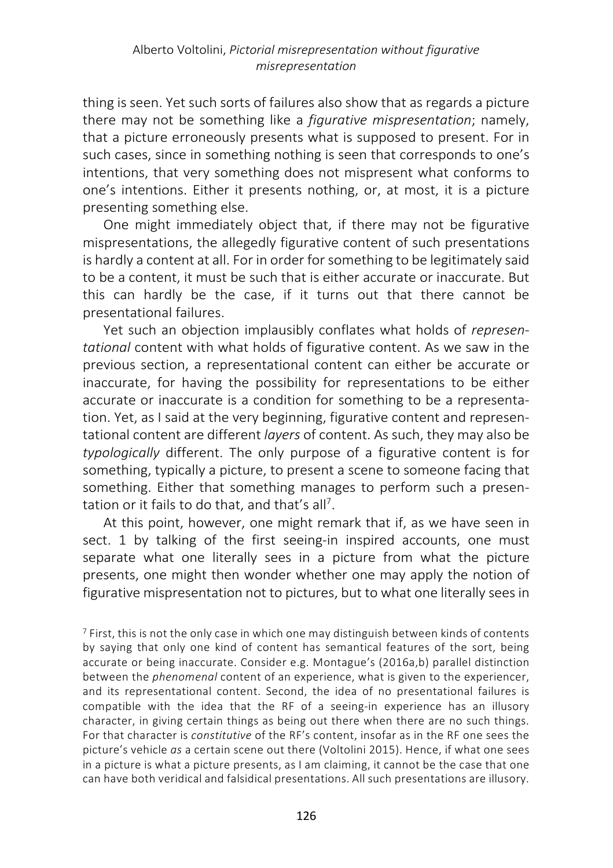thing is seen. Yet such sorts of failures also show that as regards a picture there may not be something like a *figurative mispresentation*; namely, that a picture erroneously presents what is supposed to present. For in such cases, since in something nothing is seen that corresponds to one's intentions, that very something does not mispresent what conforms to one's intentions. Either it presents nothing, or, at most, it is a picture presenting something else.

One might immediately object that, if there may not be figurative mispresentations, the allegedly figurative content of such presentations is hardly a content at all. For in order for something to be legitimately said to be a content, it must be such that is either accurate or inaccurate. But this can hardly be the case, if it turns out that there cannot be presentational failures.

Yet such an objection implausibly conflates what holds of *representational* content with what holds of figurative content. As we saw in the previous section, a representational content can either be accurate or inaccurate, for having the possibility for representations to be either accurate or inaccurate is a condition for something to be a representation. Yet, as I said at the very beginning, figurative content and representational content are different *layers* of content. As such, they may also be *typologically* different. The only purpose of a figurative content is for something, typically a picture, to present a scene to someone facing that something. Either that something manages to perform such a presentation or it fails to do that, and that's all<sup>7</sup>.

At this point, however, one might remark that if, as we have seen in sect. 1 by talking of the first seeing-in inspired accounts, one must separate what one literally sees in a picture from what the picture presents, one might then wonder whether one may apply the notion of figurative mispresentation not to pictures, but to what one literally sees in

<sup>7</sup> First, this is not the only case in which one may distinguish between kinds of contents by saying that only one kind of content has semantical features of the sort, being accurate or being inaccurate. Consider e.g. Montague's (2016a,b) parallel distinction between the *phenomenal* content of an experience, what is given to the experiencer, and its representational content. Second, the idea of no presentational failures is compatible with the idea that the RF of a seeing-in experience has an illusory character, in giving certain things as being out there when there are no such things. For that character is *constitutive* of the RF's content, insofar as in the RF one sees the picture's vehicle *as* a certain scene out there (Voltolini 2015). Hence, if what one sees in a picture is what a picture presents, as I am claiming, it cannot be the case that one can have both veridical and falsidical presentations. All such presentations are illusory.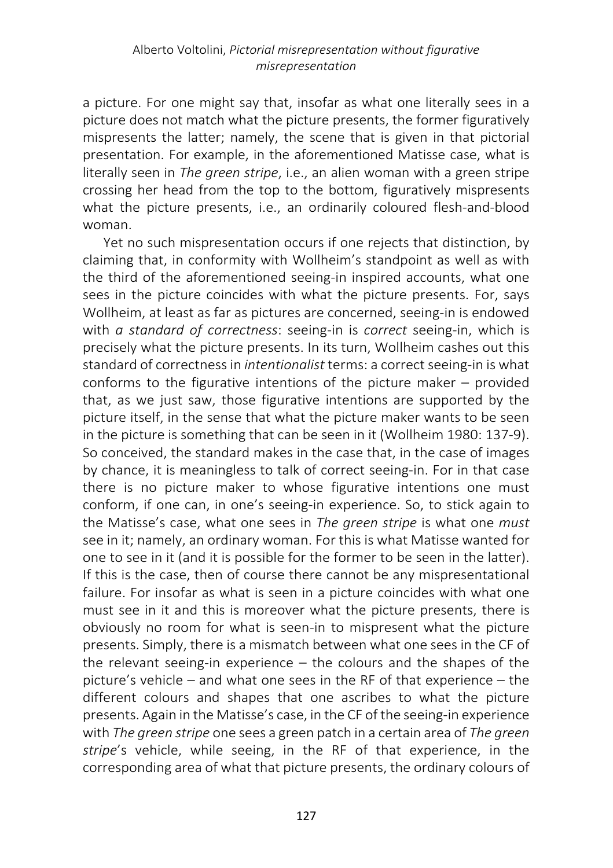a picture. For one might say that, insofar as what one literally sees in a picture does not match what the picture presents, the former figuratively mispresents the latter; namely, the scene that is given in that pictorial presentation. For example, in the aforementioned Matisse case, what is literally seen in *The green stripe*, i.e., an alien woman with a green stripe crossing her head from the top to the bottom, figuratively mispresents what the picture presents, i.e., an ordinarily coloured flesh-and-blood woman.

Yet no such mispresentation occurs if one rejects that distinction, by claiming that, in conformity with Wollheim's standpoint as well as with the third of the aforementioned seeing-in inspired accounts, what one sees in the picture coincides with what the picture presents. For, says Wollheim, at least as far as pictures are concerned, seeing-in is endowed with *a standard of correctness*: seeing-in is *correct* seeing-in, which is precisely what the picture presents. In its turn, Wollheim cashes out this standard of correctness in *intentionalist* terms: a correct seeing-in is what conforms to the figurative intentions of the picture maker – provided that, as we just saw, those figurative intentions are supported by the picture itself, in the sense that what the picture maker wants to be seen in the picture is something that can be seen in it (Wollheim 1980: 137-9). So conceived, the standard makes in the case that, in the case of images by chance, it is meaningless to talk of correct seeing-in. For in that case there is no picture maker to whose figurative intentions one must conform, if one can, in one's seeing-in experience. So, to stick again to the Matisse's case, what one sees in *The green stripe* is what one *must* see in it; namely, an ordinary woman. For this is what Matisse wanted for one to see in it (and it is possible for the former to be seen in the latter). If this is the case, then of course there cannot be any mispresentational failure. For insofar as what is seen in a picture coincides with what one must see in it and this is moreover what the picture presents, there is obviously no room for what is seen-in to mispresent what the picture presents. Simply, there is a mismatch between what one sees in the CF of the relevant seeing-in experience – the colours and the shapes of the picture's vehicle – and what one sees in the RF of that experience – the different colours and shapes that one ascribes to what the picture presents. Again in the Matisse's case, in the CF of the seeing-in experience with *The green stripe* one sees a green patch in a certain area of *The green stripe*'s vehicle, while seeing, in the RF of that experience, in the corresponding area of what that picture presents, the ordinary colours of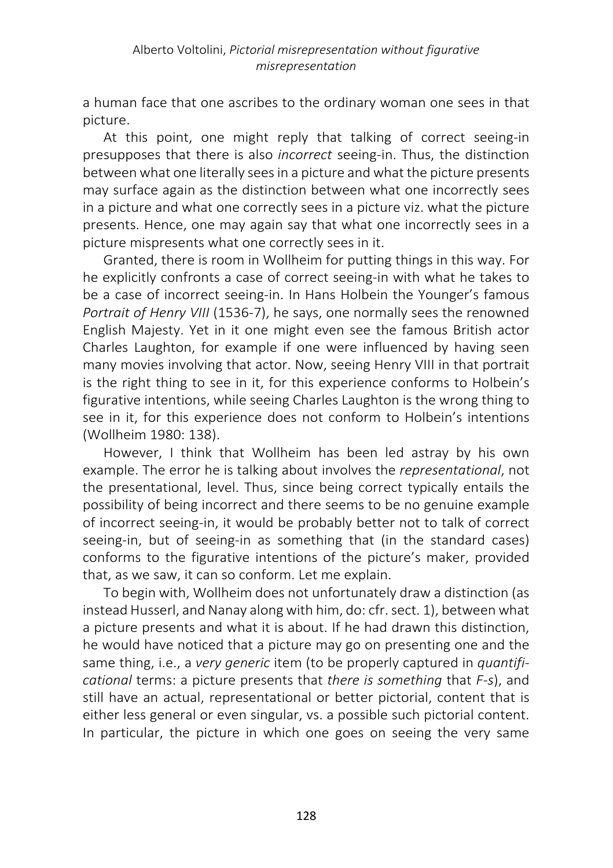a human face that one ascribes to the ordinary woman one sees in that picture.

At this point, one might reply that talking of correct seeing-in presupposes that there is also *incorrect* seeing-in. Thus, the distinction between what one literally sees in a picture and what the picture presents may surface again as the distinction between what one incorrectly sees in a picture and what one correctly sees in a picture viz. what the picture presents. Hence, one may again say that what one incorrectly sees in a picture mispresents what one correctly sees in it.

Granted, there is room in Wollheim for putting things in this way. For he explicitly confronts a case of correct seeing-in with what he takes to be a case of incorrect seeing-in. In Hans Holbein the Younger's famous *Portrait of Henry VIII* (1536-7), he says, one normally sees the renowned English Majesty. Yet in it one might even see the famous British actor Charles Laughton, for example if one were influenced by having seen many movies involving that actor. Now, seeing Henry VIII in that portrait is the right thing to see in it, for this experience conforms to Holbein's figurative intentions, while seeing Charles Laughton is the wrong thing to see in it, for this experience does not conform to Holbein's intentions (Wollheim 1980: 138).

However, I think that Wollheim has been led astray by his own example. The error he is talking about involves the *representational*, not the presentational, level. Thus, since being correct typically entails the possibility of being incorrect and there seems to be no genuine example of incorrect seeing-in, it would be probably better not to talk of correct seeing-in, but of seeing-in as something that (in the standard cases) conforms to the figurative intentions of the picture's maker, provided that, as we saw, it can so conform. Let me explain.

To begin with, Wollheim does not unfortunately draw a distinction (as instead Husserl, and Nanay along with him, do: cfr. sect. 1), between what a picture presents and what it is about. If he had drawn this distinction, he would have noticed that a picture may go on presenting one and the same thing, i.e., a *very generic* item (to be properly captured in *quantificational* terms: a picture presents that *there is something* that *F-s*), and still have an actual, representational or better pictorial, content that is either less general or even singular, vs. a possible such pictorial content. In particular, the picture in which one goes on seeing the very same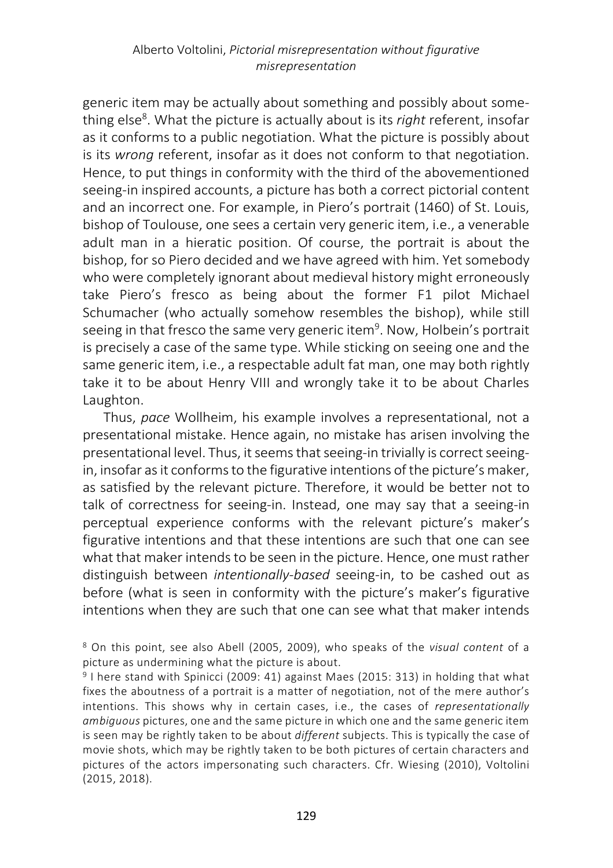## Alberto Voltolini, *Pictorial misrepresentation without figurative misrepresentation*

generic item may be actually about something and possibly about something else<sup>8</sup>. What the picture is actually about is its *right* referent, insofar as it conforms to a public negotiation. What the picture is possibly about is its *wrong* referent, insofar as it does not conform to that negotiation. Hence, to put things in conformity with the third of the abovementioned seeing-in inspired accounts, a picture has both a correct pictorial content and an incorrect one. For example, in Piero's portrait (1460) of St. Louis, bishop of Toulouse, one sees a certain very generic item, i.e., a venerable adult man in a hieratic position. Of course, the portrait is about the bishop, for so Piero decided and we have agreed with him. Yet somebody who were completely ignorant about medieval history might erroneously take Piero's fresco as being about the former F1 pilot Michael Schumacher (who actually somehow resembles the bishop), while still seeing in that fresco the same very generic item<sup>9</sup>. Now, Holbein's portrait is precisely a case of the same type. While sticking on seeing one and the same generic item, i.e., a respectable adult fat man, one may both rightly take it to be about Henry VIII and wrongly take it to be about Charles Laughton.

Thus, *pace* Wollheim, his example involves a representational, not a presentational mistake. Hence again, no mistake has arisen involving the presentational level. Thus, it seems that seeing-in trivially is correct seeingin, insofar as it conforms to the figurative intentions of the picture's maker, as satisfied by the relevant picture. Therefore, it would be better not to talk of correctness for seeing-in. Instead, one may say that a seeing-in perceptual experience conforms with the relevant picture's maker's figurative intentions and that these intentions are such that one can see what that maker intends to be seen in the picture. Hence, one must rather distinguish between *intentionally-based* seeing-in, to be cashed out as before (what is seen in conformity with the picture's maker's figurative intentions when they are such that one can see what that maker intends

<sup>8</sup> On this point, see also Abell (2005, 2009), who speaks of the *visual content* of a picture as undermining what the picture is about.

<sup>9</sup> I here stand with Spinicci (2009: 41) against Maes (2015: 313) in holding that what fixes the aboutness of a portrait is a matter of negotiation, not of the mere author's intentions. This shows why in certain cases, i.e., the cases of *representationally ambiguous* pictures, one and the same picture in which one and the same generic item is seen may be rightly taken to be about *different* subjects. This is typically the case of movie shots, which may be rightly taken to be both pictures of certain characters and pictures of the actors impersonating such characters. Cfr. Wiesing (2010), Voltolini (2015, 2018).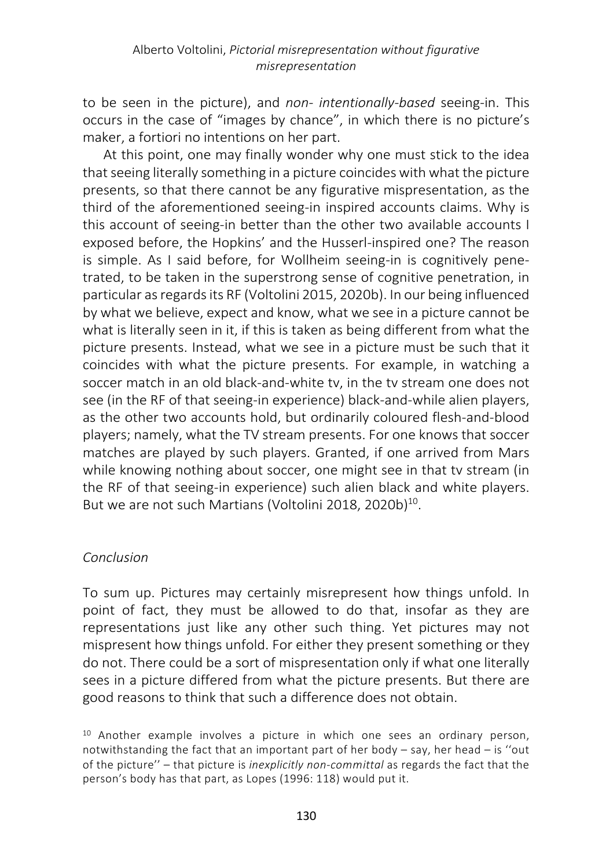to be seen in the picture), and *non- intentionally-based* seeing-in. This occurs in the case of "images by chance", in which there is no picture's maker, a fortiori no intentions on her part.

At this point, one may finally wonder why one must stick to the idea that seeing literally something in a picture coincides with what the picture presents, so that there cannot be any figurative mispresentation, as the third of the aforementioned seeing-in inspired accounts claims. Why is this account of seeing-in better than the other two available accounts I exposed before, the Hopkins' and the Husserl-inspired one? The reason is simple. As I said before, for Wollheim seeing-in is cognitively penetrated, to be taken in the superstrong sense of cognitive penetration, in particular as regards its RF (Voltolini 2015, 2020b). In our being influenced by what we believe, expect and know, what we see in a picture cannot be what is literally seen in it, if this is taken as being different from what the picture presents. Instead, what we see in a picture must be such that it coincides with what the picture presents. For example, in watching a soccer match in an old black-and-white tv, in the tv stream one does not see (in the RF of that seeing-in experience) black-and-while alien players, as the other two accounts hold, but ordinarily coloured flesh-and-blood players; namely, what the TV stream presents. For one knows that soccer matches are played by such players. Granted, if one arrived from Mars while knowing nothing about soccer, one might see in that tv stream (in the RF of that seeing-in experience) such alien black and white players. But we are not such Martians (Voltolini 2018, 2020b)<sup>10</sup>.

## *Conclusion*

To sum up. Pictures may certainly misrepresent how things unfold. In point of fact, they must be allowed to do that, insofar as they are representations just like any other such thing. Yet pictures may not mispresent how things unfold. For either they present something or they do not. There could be a sort of mispresentation only if what one literally sees in a picture differed from what the picture presents. But there are good reasons to think that such a difference does not obtain.

<sup>10</sup> Another example involves a picture in which one sees an ordinary person, notwithstanding the fact that an important part of her body  $-$  say, her head  $-$  is "out of the picture'' – that picture is *inexplicitly non-committal* as regards the fact that the person's body has that part, as Lopes (1996: 118) would put it.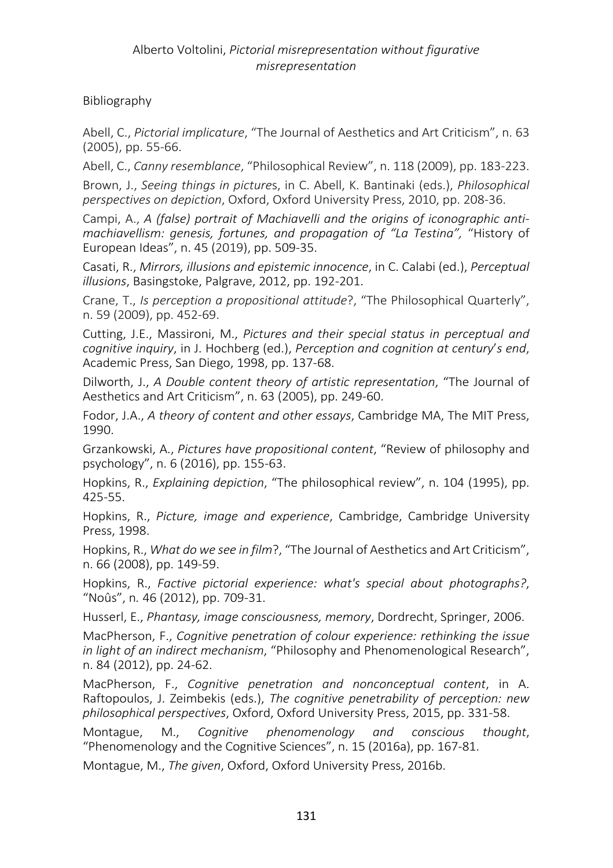## Bibliography

Abell, C., *Pictorial implicature*, "The Journal of Aesthetics and Art Criticism", n. 63 (2005), pp. 55-66.

Abell, C., *Canny resemblance*, "Philosophical Review", n. 118 (2009), pp. 183-223.

Brown, J., *Seeing things in picture*s, in C. Abell, K. Bantinaki (eds.), *Philosophical perspectives on depiction*, Oxford, Oxford University Press, 2010, pp. 208-36.

Campi, A., *A (false) portrait of Machiavelli and the origins of iconographic antimachiavellism: genesis, fortunes, and propagation of "La Testina",* "History of European Ideas", n. 45 (2019), pp. 509-35.

Casati, R., *Mirrors, illusions and epistemic innocence*, in C. Calabi (ed.), *Perceptual illusions*, Basingstoke, Palgrave, 2012, pp. 192-201.

Crane, T., *Is perception a propositional attitude*?, "The Philosophical Quarterly", n. 59 (2009), pp. 452-69.

Cutting, J.E., Massironi, M., *Pictures and their special status in perceptual and cognitive inquiry*, in J. Hochberg (ed.), *Perception and cognition at century*'*s end*, Academic Press, San Diego, 1998, pp. 137-68.

Dilworth, J., *A Double content theory of artistic representation*, "The Journal of Aesthetics and Art Criticism", n. 63 (2005), pp. 249-60.

Fodor, J.A., *A theory of content and other essays*, Cambridge MA, The MIT Press, 1990.

Grzankowski, A., *Pictures have propositional content*, "Review of philosophy and psychology", n. 6 (2016), pp. 155-63.

Hopkins, R., *Explaining depiction*, "The philosophical review", n. 104 (1995), pp. 425-55.

Hopkins, R., *Picture, image and experience*, Cambridge, Cambridge University Press, 1998.

Hopkins, R., *What do we see in film*?, "The Journal of Aesthetics and Art Criticism", n. 66 (2008), pp. 149-59.

Hopkins, R., *Factive pictorial experience: what's special about photographs?*, "Noûs", n*.* 46 (2012), pp. 709-31.

Husserl, E., *Phantasy, image consciousness, memory*, Dordrecht, Springer, 2006.

MacPherson, F., *Cognitive penetration of colour experience: rethinking the issue in light of an indirect mechanism*, "Philosophy and Phenomenological Research", n. 84 (2012), pp. 24-62.

MacPherson, F., *Cognitive penetration and nonconceptual content*, in A. Raftopoulos, J. Zeimbekis (eds.), *The cognitive penetrability of perception: new philosophical perspectives*, Oxford, Oxford University Press, 2015, pp. 331-58.

Montague, M., *Cognitive phenomenology and conscious thought*, "Phenomenology and the Cognitive Sciences", n. 15 (2016a), pp. 167-81.

Montague, M., *The given*, Oxford, Oxford University Press, 2016b.